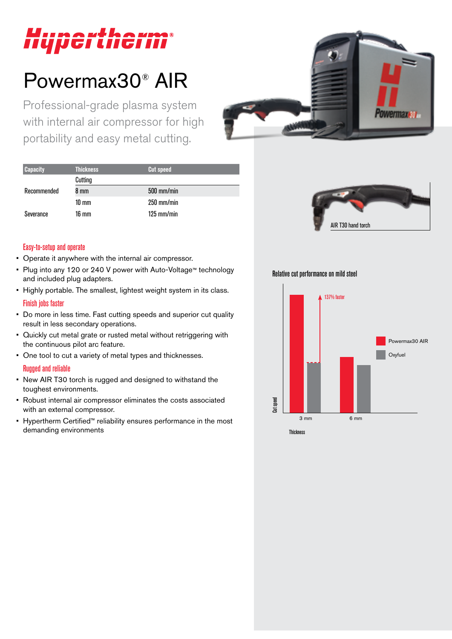# Hypertherm®

## Powermax30® AIR

Professional-grade plasma system with internal air compressor for high portability and easy metal cutting.



| <b>Capacity</b> | <b>Thickness</b> | <b>Cut speed</b>     |
|-----------------|------------------|----------------------|
|                 | Cutting          |                      |
| Recommended     | 8 mm             | $500$ mm/min         |
|                 | 10 mm            | $250$ mm/min         |
| Severance       | 16 mm            | $125 \text{ mm/min}$ |



#### Easy-to-setup and operate

- Operate it anywhere with the internal air compressor.
- Plug into any 120 or 240 V power with Auto-Voltage™ technology and included plug adapters.
- Highly portable. The smallest, lightest weight system in its class. Finish jobs faster
- Do more in less time. Fast cutting speeds and superior cut quality result in less secondary operations.
- Quickly cut metal grate or rusted metal without retriggering with the continuous pilot arc feature.
- One tool to cut a variety of metal types and thicknesses.

#### Rugged and reliable

- New AIR T30 torch is rugged and designed to withstand the toughest environments.
- Robust internal air compressor eliminates the costs associated with an external compressor.
- Hypertherm Certified™ reliability ensures performance in the most demanding environments

Relative cut performance on mild steel

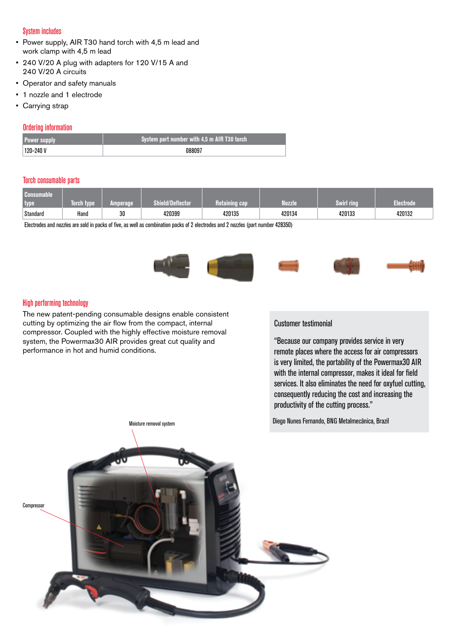#### System includes

- Power supply, AIR T30 hand torch with 4,5 m lead and work clamp with 4,5 m lead
- 240 V/20 A plug with adapters for 120 V/15 A and 240 V/20 A circuits
- Operator and safety manuals
- 1 nozzle and 1 electrode
- Carrying strap

#### Ordering information

| <b>Power supply</b> | $\,$ System part number with 4.5 m AIR T30 torch $^{\prime}$ |
|---------------------|--------------------------------------------------------------|
| $ 120 - 240 V$      | NARNA.                                                       |

#### Torch consumable parts

| . Consumable'<br>type | Torch type | <b>Amperage</b> | Shield/Deflector | neranın | <b>Nozzle</b> | <b>Swirl ring</b> | Electrode |
|-----------------------|------------|-----------------|------------------|---------|---------------|-------------------|-----------|
| Standard              | Hand       | 30              | 420399           | 420135  | 420134        | 420133            | 420132    |

Electrodes and nozzles are sold in packs of five, as well as combination packs of 2 electrodes and 2 nozzles (part number 428350)



#### High performing technology

The new patent-pending consumable designs enable consistent cutting by optimizing the air flow from the compact, internal compressor. Coupled with the highly effective moisture removal system, the Powermax30 AIR provides great cut quality and performance in hot and humid conditions.

#### Customer testimonial

"Because our company provides service in very remote places where the access for air compressors is very limited, the portability of the Powermax30 AIR with the internal compressor, makes it ideal for field services. It also eliminates the need for oxyfuel cutting, consequently reducing the cost and increasing the productivity of the cutting process."

Diego Nunes Fernando, BNG Metalmecânica, Brazil

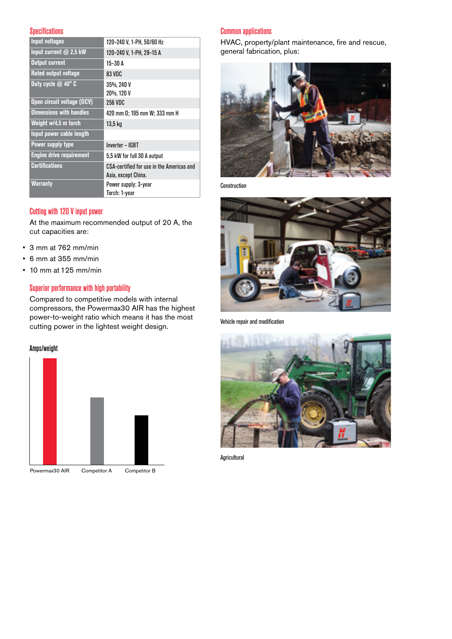#### **Specifications**

| <b>Input voltages</b>           | 120-240 V, 1-PH, 50/60 Hz                                        |  |  |
|---------------------------------|------------------------------------------------------------------|--|--|
| Input current @ 2,5 kW          | 120-240 V, 1-PH, 29-15 A                                         |  |  |
| <b>Output current</b>           | 15-30 A                                                          |  |  |
| <b>Rated output voltage</b>     | 83 VDC                                                           |  |  |
| Duty cycle $@$ 40 $^{\circ}$ C  | 35%, 240 V<br>20%, 120 V                                         |  |  |
| Open circuit voltage (OCV)      | 256 VDC                                                          |  |  |
| <b>Dimensions with handles</b>  | 420 mm D; 195 mm W; 333 mm H                                     |  |  |
| Weight w/4,5 m torch            | 13,5 kg                                                          |  |  |
| Input power cable length        |                                                                  |  |  |
| Power supply type               | Inverter – IGBT                                                  |  |  |
| <b>Engine drive requirement</b> | 5,5 kW for full 30 A output                                      |  |  |
| <b>Certifications</b>           | CSA-certified for use in the Americas and<br>Asia, except China. |  |  |
| <b>Warranty</b>                 | Power supply: 3-year<br>Torch: 1-year                            |  |  |

#### Cutting with 120 V input power

At the maximum recommended output of 20 A, the cut capacities are:

- 3 mm at 762 mm/min
- 6 mm at 355 mm/min
- 10 mm at 125 mm/min

#### Superior performance with high portability

Compared to competitive models with internal compressors, the Powermax30 AIR has the highest power-to-weight ratio which means it has the most cutting power in the lightest weight design.

#### Amps/weight



#### Common applications

HVAC, property/plant maintenance, fire and rescue, general fabrication, plus:



Construction



Vehicle repair and modification



**Agricultural**